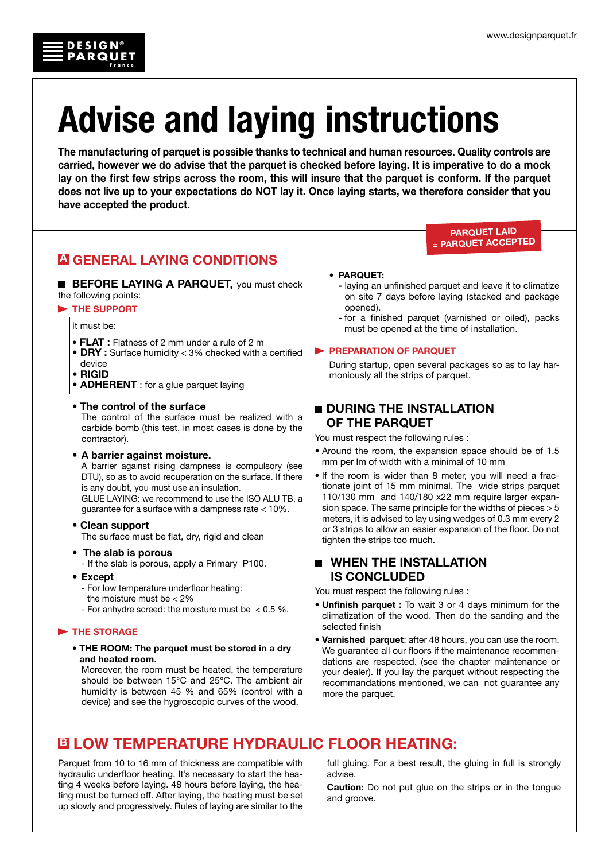

The manufacturing of parquet is possible thanks to technical and human resources. Quality controls are carried, however we do advise that the parquet is checked before laying. It is imperative to do a mock lay on the first few strips across the room, this will insure that the parquet is conform. If the parquet does not live up to your expectations do NOT lay it. Once laying starts, we therefore consider that you have accepted the product.

## A GENERAL LAYING CONDITIONS

**BEFORE LAYING A PARQUET, you must check** the following points:

## THE SUPPORT

It must be:

**DESIGN PARQUET**

**France**

®

- FLAT : Flatness of 2 mm under a rule of 2 m
- DRY : Surface humidity < 3% checked with a certified
- device
- RIGID
- **ADHERENT** : for a glue parquet laying

## • The control of the surface

 The control of the surface must be realized with a carbide bomb (this test, in most cases is done by the contractor).

## • A barrier against moisture.

 A barrier against rising dampness is compulsory (see DTU), so as to avoid recuperation on the surface. If there is any doubt, you must use an insulation.

GLUE LAYING: we recommend to use the ISO ALU TB, a guarantee for a surface with a dampness rate < 10%.

## • Clean support

The surface must be flat, dry, rigid and clean

• The slab is porous

- If the slab is porous, apply a Primary P100.

• Except

- For low temperature underfloor heating:

- the moisture must be  $<$  2%
- For anhydre screed: the moisture must be < 0.5 %.

## THE STORAGE

• THE ROOM: The parquet must be stored in a dry and heated room.

 Moreover, the room must be heated, the temperature should be between 15°C and 25°C. The ambient air humidity is between 45 % and 65% (control with a device) and see the hygroscopic curves of the wood.

## • PARQUET:

- laying an unfinished parquet and leave it to climatize on site 7 days before laying (stacked and package opened).
- for a finished parquet (varnished or oiled), packs must be opened at the time of installation.

### **PREPARATION OF PARQUET**

 During startup, open several packages so as to lay harmoniously all the strips of parquet.

## **DURING THE INSTALLATION** of the parquet

You must respect the following rules :

- Around the room, the expansion space should be of 1.5 mm per lm of width with a minimal of 10 mm
- If the room is wider than 8 meter, you will need a fractionate joint of 15 mm minimal. The wide strips parquet 110/130 mm and 140/180 x22 mm require larger expansion space. The same principle for the widths of pieces > 5 meters, it is advised to lay using wedges of 0.3 mm every 2 or 3 strips to allow an easier expansion of the floor. Do not tighten the strips too much.

## $\blacksquare$  WHEN THE INSTALLATION is concluded

You must respect the following rules :

- Unfinish parquet : To wait 3 or 4 days minimum for the climatization of the wood. Then do the sanding and the selected finish
- Varnished parquet: after 48 hours, you can use the room. We guarantee all our floors if the maintenance recommendations are respected. (see the chapter maintenance or your dealer). If you lay the parquet without respecting the recommandations mentioned, we can not guarantee any more the parquet.

# B LOW TEMPERATURE hydraulic FLOOR HEATING:

Parquet from 10 to 16 mm of thickness are compatible with hydraulic underfloor heating. It's necessary to start the heating 4 weeks before laying. 48 hours before laying, the heating must be turned off. After laying, the heating must be set up slowly and progressively. Rules of laying are similar to the full gluing. For a best result, the gluing in full is strongly advise.

Caution: Do not put glue on the strips or in the tongue and groove.

### PARQUET LAid = parquet acCEPTED